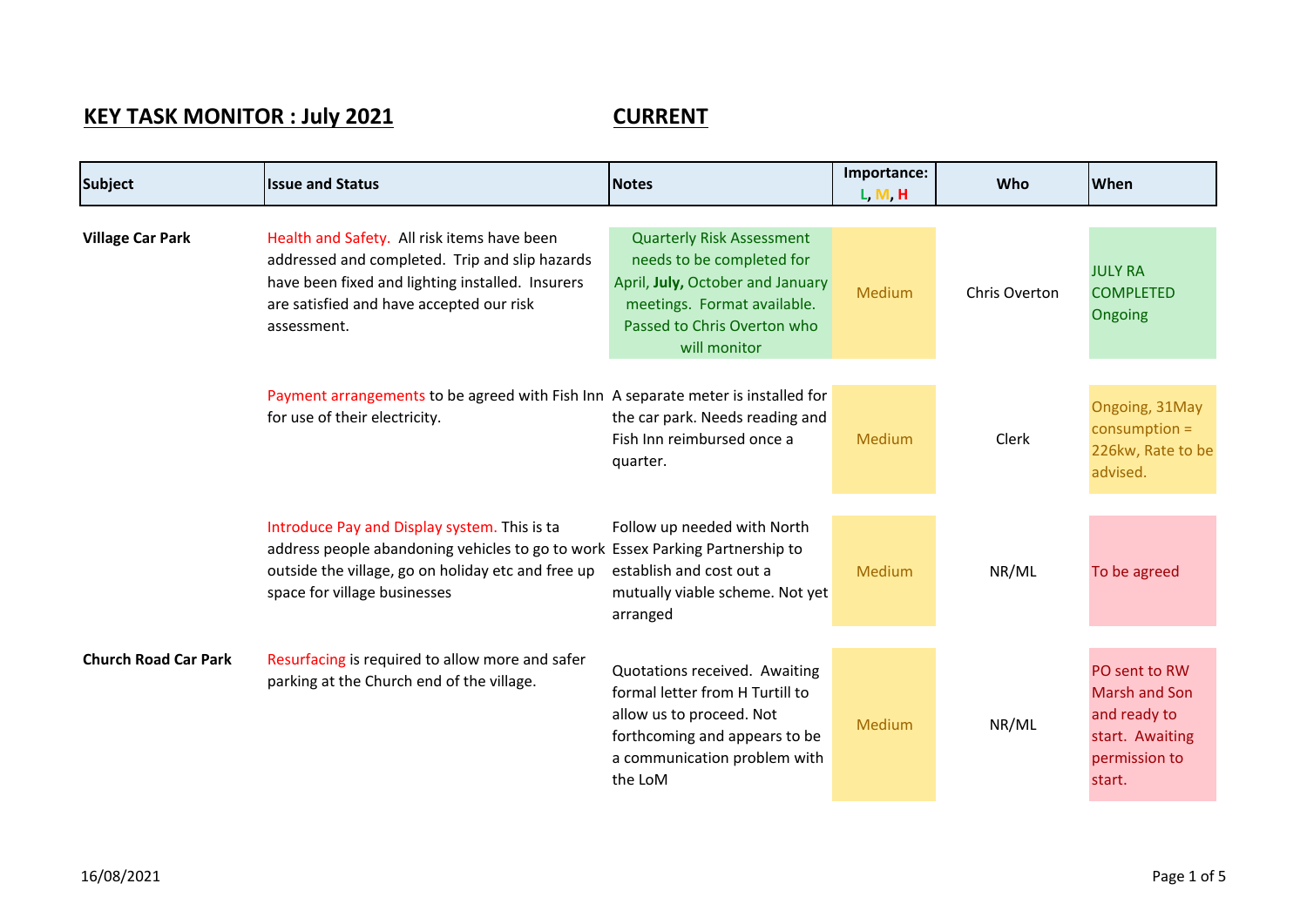## **KEY TASK MONITOR : July 2021 CURRENT**

| <b>Subject</b>              | <b>Issue and Status</b>                                                                                                                                                                                             | <b>Notes</b>                                                                                                                                                                    | Importance:<br>L, M, H | <b>Who</b>    | <b>When</b>                                                                                         |
|-----------------------------|---------------------------------------------------------------------------------------------------------------------------------------------------------------------------------------------------------------------|---------------------------------------------------------------------------------------------------------------------------------------------------------------------------------|------------------------|---------------|-----------------------------------------------------------------------------------------------------|
| <b>Village Car Park</b>     | Health and Safety. All risk items have been<br>addressed and completed. Trip and slip hazards<br>have been fixed and lighting installed. Insurers<br>are satisfied and have accepted our risk<br>assessment.        | <b>Quarterly Risk Assessment</b><br>needs to be completed for<br>April, July, October and January<br>meetings. Format available.<br>Passed to Chris Overton who<br>will monitor | Medium                 | Chris Overton | <b>JULY RA</b><br><b>COMPLETED</b><br>Ongoing                                                       |
|                             | Payment arrangements to be agreed with Fish Inn A separate meter is installed for<br>for use of their electricity.                                                                                                  | the car park. Needs reading and<br>Fish Inn reimbursed once a<br>quarter.                                                                                                       | Medium                 | Clerk         | Ongoing, 31May<br>$consumption =$<br>226kw, Rate to be<br>advised.                                  |
|                             | Introduce Pay and Display system. This is ta<br>address people abandoning vehicles to go to work Essex Parking Partnership to<br>outside the village, go on holiday etc and free up<br>space for village businesses | Follow up needed with North<br>establish and cost out a<br>mutually viable scheme. Not yet<br>arranged                                                                          | Medium                 | NR/ML         | To be agreed                                                                                        |
| <b>Church Road Car Park</b> | Resurfacing is required to allow more and safer<br>parking at the Church end of the village.                                                                                                                        | Quotations received. Awaiting<br>formal letter from H Turtill to<br>allow us to proceed. Not<br>forthcoming and appears to be<br>a communication problem with<br>the LoM        | Medium                 | NR/ML         | PO sent to RW<br><b>Marsh and Son</b><br>and ready to<br>start. Awaiting<br>permission to<br>start. |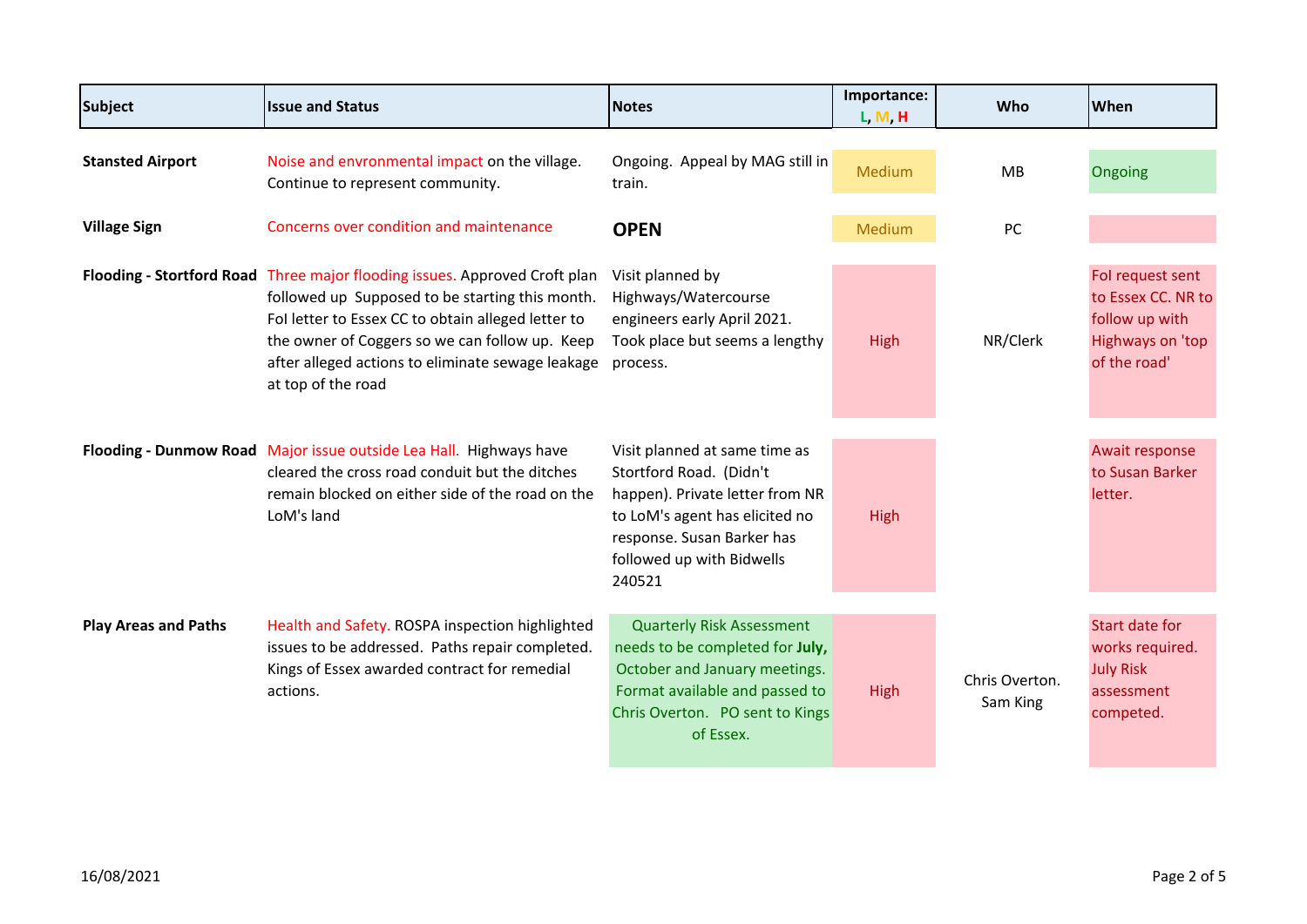| <b>Subject</b>              | <b>Issue and Status</b>                                                                                                                                                                                                                                                                                          | <b>Notes</b>                                                                                                                                                                                       | Importance:<br>L, M, H | Who                        | When                                                                                                |
|-----------------------------|------------------------------------------------------------------------------------------------------------------------------------------------------------------------------------------------------------------------------------------------------------------------------------------------------------------|----------------------------------------------------------------------------------------------------------------------------------------------------------------------------------------------------|------------------------|----------------------------|-----------------------------------------------------------------------------------------------------|
| <b>Stansted Airport</b>     | Noise and envronmental impact on the village.<br>Continue to represent community.                                                                                                                                                                                                                                | Ongoing. Appeal by MAG still in<br>train.                                                                                                                                                          | Medium                 | MB                         | Ongoing                                                                                             |
| <b>Village Sign</b>         | Concerns over condition and maintenance                                                                                                                                                                                                                                                                          | <b>OPEN</b>                                                                                                                                                                                        | Medium                 | PC                         |                                                                                                     |
|                             | Flooding - Stortford Road Three major flooding issues. Approved Croft plan<br>followed up Supposed to be starting this month.<br>Fol letter to Essex CC to obtain alleged letter to<br>the owner of Coggers so we can follow up. Keep<br>after alleged actions to eliminate sewage leakage<br>at top of the road | Visit planned by<br>Highways/Watercourse<br>engineers early April 2021.<br>Took place but seems a lengthy<br>process.                                                                              | <b>High</b>            | NR/Clerk                   | Fol request sent<br>to Essex CC. NR to<br>follow up with<br><b>Highways on 'top</b><br>of the road' |
|                             | Flooding - Dunmow Road Major issue outside Lea Hall. Highways have<br>cleared the cross road conduit but the ditches<br>remain blocked on either side of the road on the<br>LoM's land                                                                                                                           | Visit planned at same time as<br>Stortford Road. (Didn't<br>happen). Private letter from NR<br>to LoM's agent has elicited no<br>response. Susan Barker has<br>followed up with Bidwells<br>240521 | <b>High</b>            |                            | Await response<br>to Susan Barker<br>letter.                                                        |
| <b>Play Areas and Paths</b> | Health and Safety. ROSPA inspection highlighted<br>issues to be addressed. Paths repair completed.<br>Kings of Essex awarded contract for remedial<br>actions.                                                                                                                                                   | <b>Quarterly Risk Assessment</b><br>needs to be completed for July,<br>October and January meetings.<br>Format available and passed to<br>Chris Overton. PO sent to Kings<br>of Essex.             | <b>High</b>            | Chris Overton.<br>Sam King | <b>Start date for</b><br>works required.<br><b>July Risk</b><br>assessment<br>competed.             |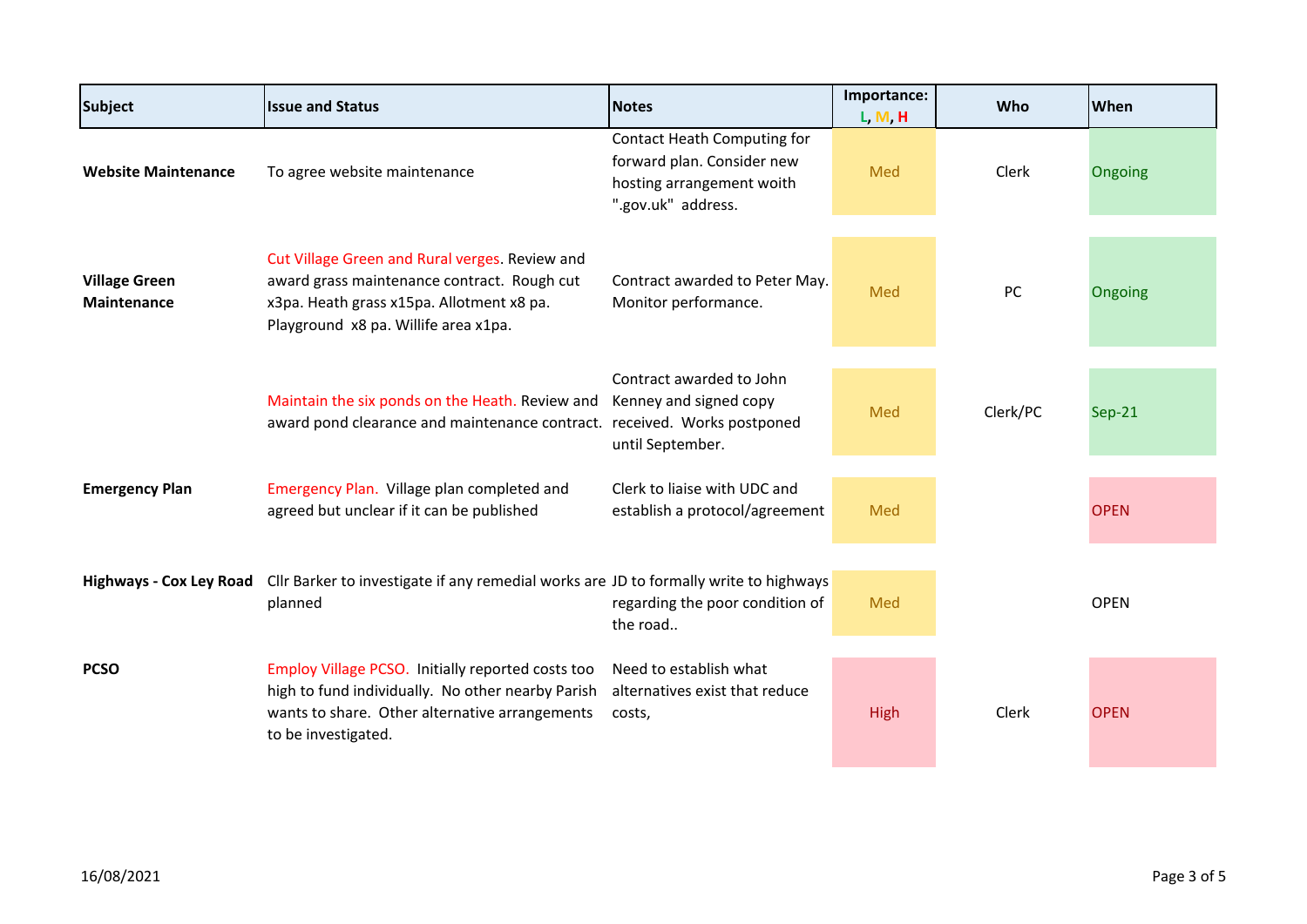| <b>Subject</b>                             | <b>Issue and Status</b>                                                                                                                                                            | <b>Notes</b>                                                                                                        | Importance:<br>L, M, H | Who      | When        |
|--------------------------------------------|------------------------------------------------------------------------------------------------------------------------------------------------------------------------------------|---------------------------------------------------------------------------------------------------------------------|------------------------|----------|-------------|
| <b>Website Maintenance</b>                 | To agree website maintenance                                                                                                                                                       | <b>Contact Heath Computing for</b><br>forward plan. Consider new<br>hosting arrangement woith<br>".gov.uk" address. | Med                    | Clerk    | Ongoing     |
| <b>Village Green</b><br><b>Maintenance</b> | Cut Village Green and Rural verges. Review and<br>award grass maintenance contract. Rough cut<br>x3pa. Heath grass x15pa. Allotment x8 pa.<br>Playground x8 pa. Willife area x1pa. | Contract awarded to Peter May.<br>Monitor performance.                                                              | Med                    | PC       | Ongoing     |
|                                            | Maintain the six ponds on the Heath. Review and<br>award pond clearance and maintenance contract.                                                                                  | Contract awarded to John<br>Kenney and signed copy<br>received. Works postponed<br>until September.                 | Med                    | Clerk/PC | $Sep-21$    |
| <b>Emergency Plan</b>                      | Emergency Plan. Village plan completed and<br>agreed but unclear if it can be published                                                                                            | Clerk to liaise with UDC and<br>establish a protocol/agreement                                                      | Med                    |          | <b>OPEN</b> |
|                                            | Highways - Cox Ley Road Cllr Barker to investigate if any remedial works are JD to formally write to highways<br>planned                                                           | regarding the poor condition of<br>the road                                                                         | Med                    |          | <b>OPEN</b> |
| <b>PCSO</b>                                | Employ Village PCSO. Initially reported costs too<br>high to fund individually. No other nearby Parish<br>wants to share. Other alternative arrangements<br>to be investigated.    | Need to establish what<br>alternatives exist that reduce<br>costs,                                                  | <b>High</b>            | Clerk    | <b>OPEN</b> |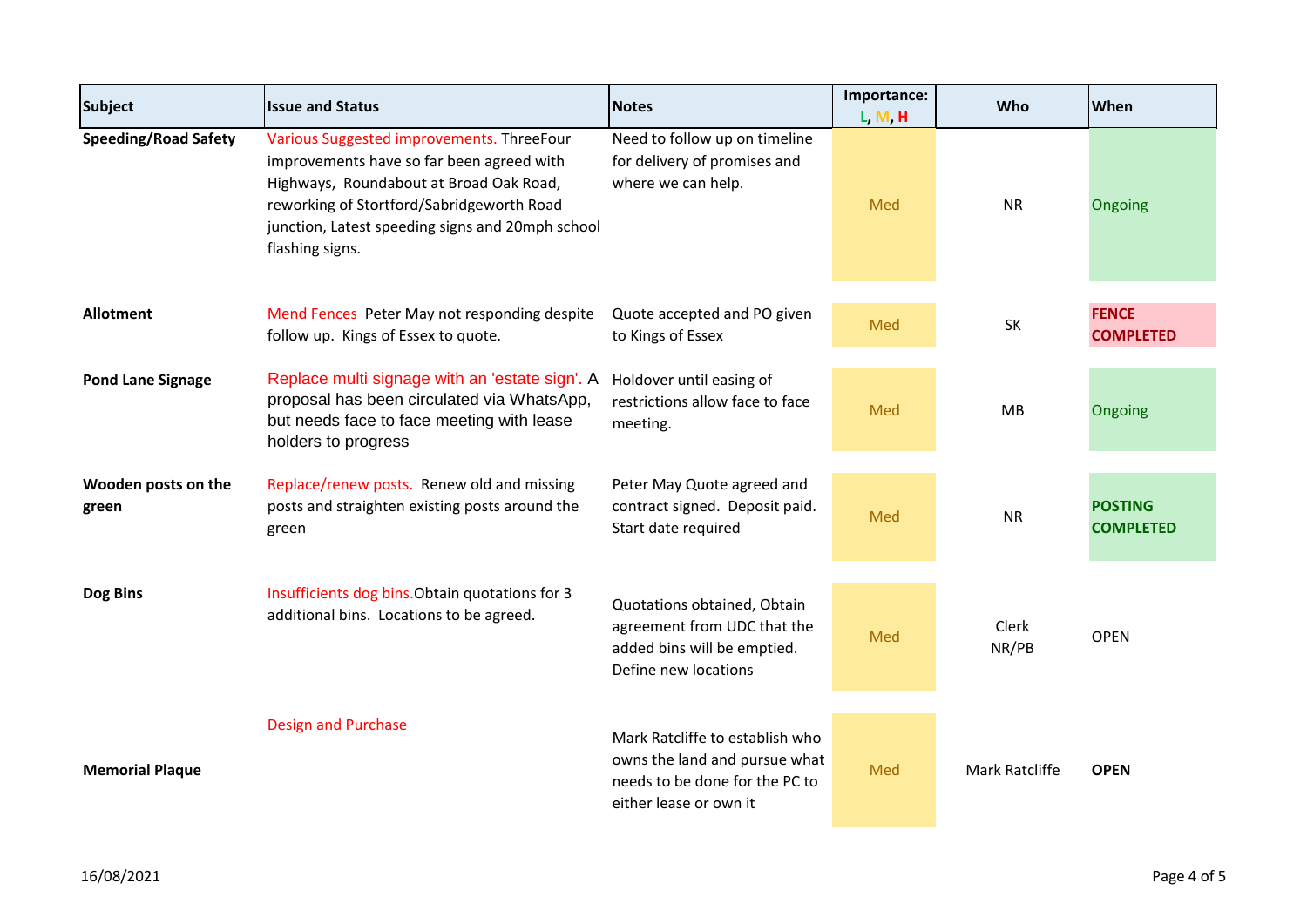| <b>Subject</b>               | <b>Issue and Status</b>                                                                                                                                                                                                                               | <b>Notes</b>                                                                                                                 | Importance:<br>L, M, H | Who            | When                               |
|------------------------------|-------------------------------------------------------------------------------------------------------------------------------------------------------------------------------------------------------------------------------------------------------|------------------------------------------------------------------------------------------------------------------------------|------------------------|----------------|------------------------------------|
| <b>Speeding/Road Safety</b>  | Various Suggested improvements. ThreeFour<br>improvements have so far been agreed with<br>Highways, Roundabout at Broad Oak Road,<br>reworking of Stortford/Sabridgeworth Road<br>junction, Latest speeding signs and 20mph school<br>flashing signs. | Need to follow up on timeline<br>for delivery of promises and<br>where we can help.                                          | Med                    | <b>NR</b>      | Ongoing                            |
| <b>Allotment</b>             | Mend Fences Peter May not responding despite<br>follow up. Kings of Essex to quote.                                                                                                                                                                   | Quote accepted and PO given<br>to Kings of Essex                                                                             | Med                    | SK             | <b>FENCE</b><br><b>COMPLETED</b>   |
| <b>Pond Lane Signage</b>     | Replace multi signage with an 'estate sign'. A<br>proposal has been circulated via WhatsApp,<br>but needs face to face meeting with lease<br>holders to progress                                                                                      | Holdover until easing of<br>restrictions allow face to face<br>meeting.                                                      | Med                    | MB             | Ongoing                            |
| Wooden posts on the<br>green | Replace/renew posts. Renew old and missing<br>posts and straighten existing posts around the<br>green                                                                                                                                                 | Peter May Quote agreed and<br>contract signed. Deposit paid.<br>Start date required                                          | Med                    | <b>NR</b>      | <b>POSTING</b><br><b>COMPLETED</b> |
| Dog Bins                     | Insufficients dog bins. Obtain quotations for 3<br>additional bins. Locations to be agreed.                                                                                                                                                           | Quotations obtained, Obtain<br>agreement from UDC that the<br>added bins will be emptied.<br>Define new locations            | Med                    | Clerk<br>NR/PB | <b>OPEN</b>                        |
| <b>Memorial Plaque</b>       | <b>Design and Purchase</b>                                                                                                                                                                                                                            | Mark Ratcliffe to establish who<br>owns the land and pursue what<br>needs to be done for the PC to<br>either lease or own it | Med                    | Mark Ratcliffe | <b>OPEN</b>                        |